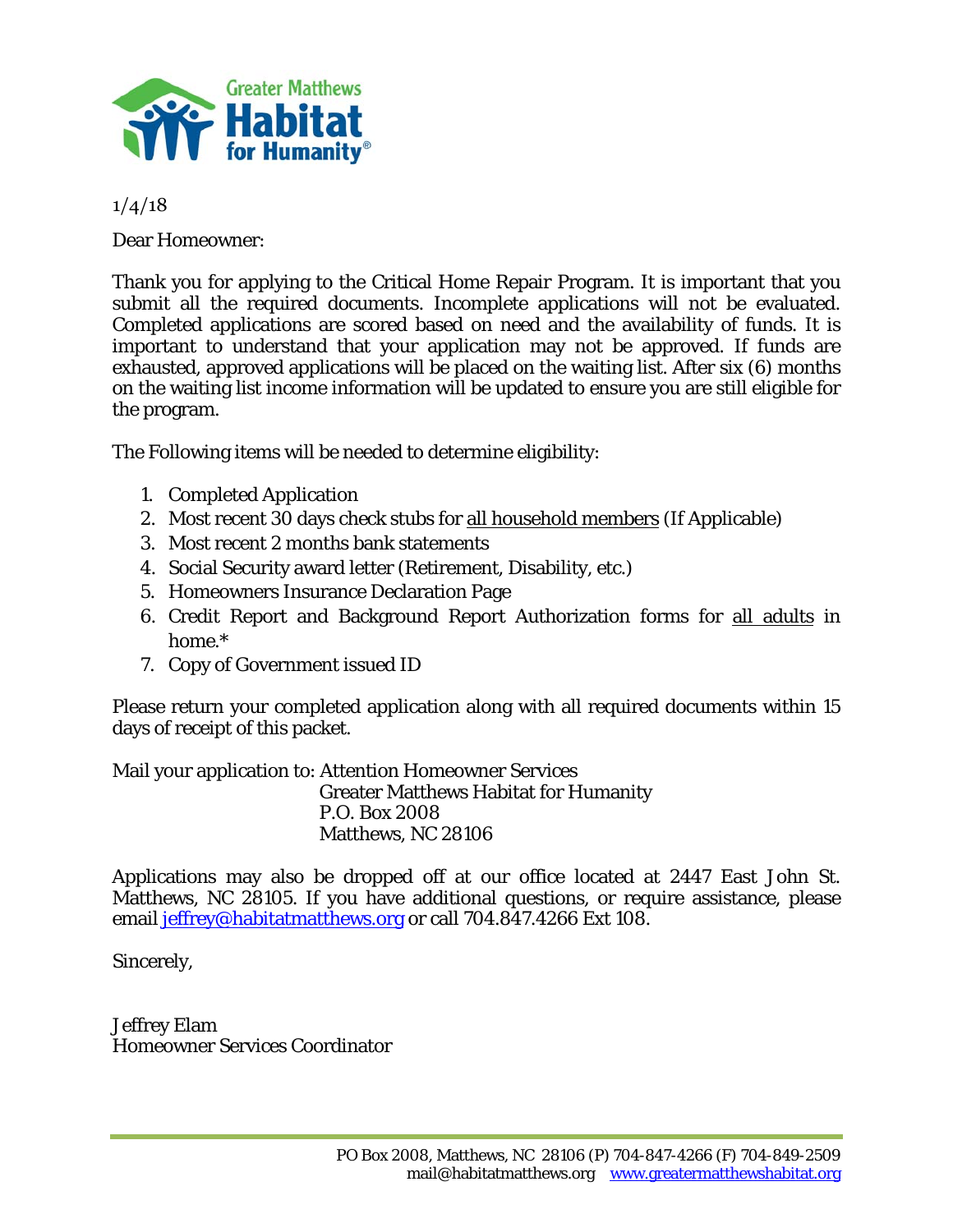

1/4/18

Dear Homeowner:

Thank you for applying to the Critical Home Repair Program. It is important that you submit all the required documents. Incomplete applications will not be evaluated. Completed applications are scored based on need and the availability of funds. It is important to understand that your application may not be approved. If funds are exhausted, approved applications will be placed on the waiting list. After six (6) months on the waiting list income information will be updated to ensure you are still eligible for the program.

The Following items will be needed to determine eligibility:

- 1. Completed Application
- 2. Most recent 30 days check stubs for all household members (If Applicable)
- 3. Most recent 2 months bank statements
- 4. Social Security award letter (Retirement, Disability, etc.)
- 5. Homeowners Insurance Declaration Page
- 6. Credit Report and Background Report Authorization forms for all adults in home.\*
- 7. Copy of Government issued ID

Please return your completed application along with all required documents within 15 days of receipt of this packet.

Mail your application to: Attention Homeowner Services Greater Matthews Habitat for Humanity P.O. Box 2008 Matthews, NC 28106

Applications may also be dropped off at our office located at 2447 East John St. Matthews, NC 28105. If you have additional questions, or require assistance, please email jeffrey@habitatmatthews.org or call 704.847.4266 Ext 108.

Sincerely,

Jeffrey Elam Homeowner Services Coordinator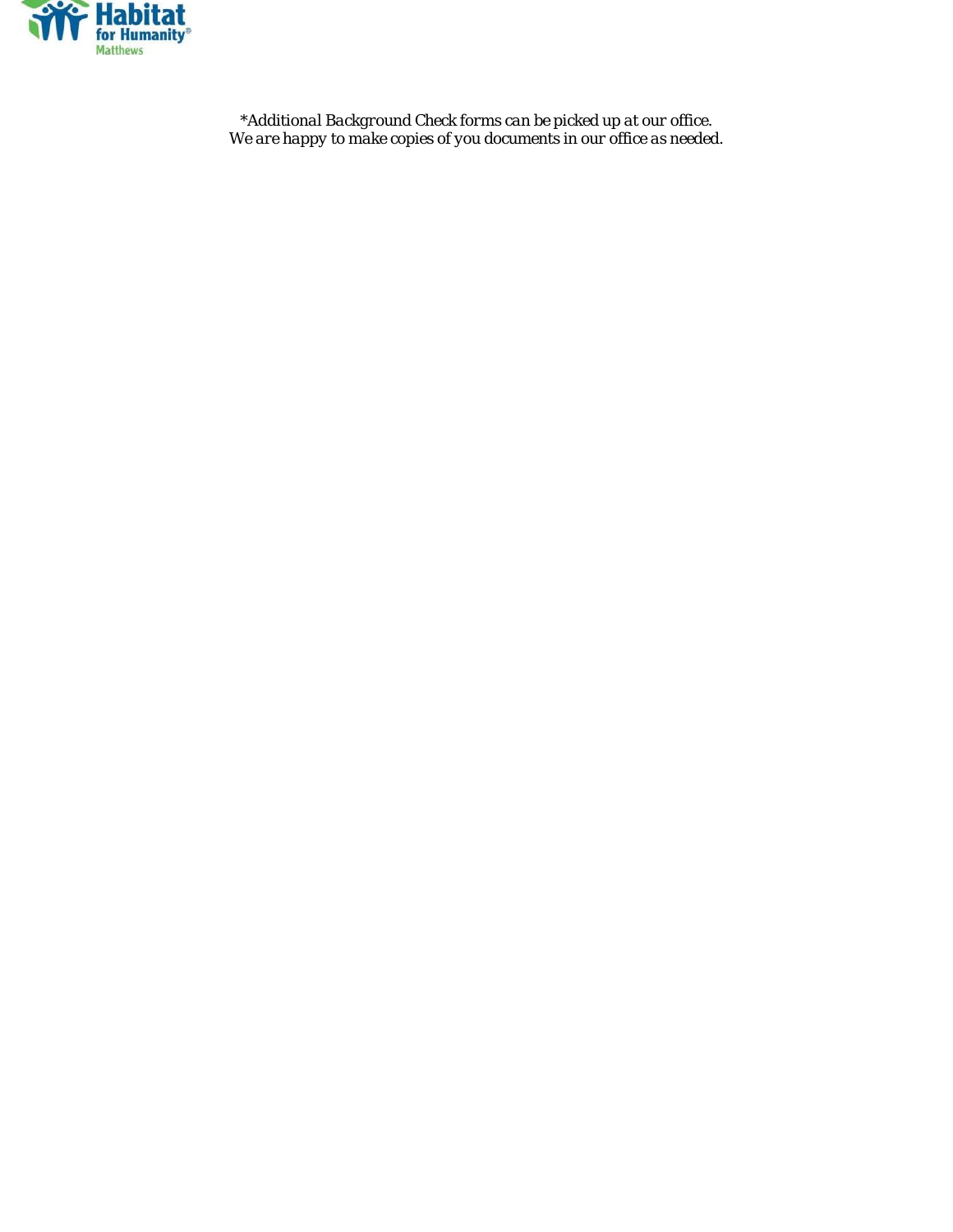

*\*Additional Background Check forms can be picked up at our office. We are happy to make copies of you documents in our office as needed.*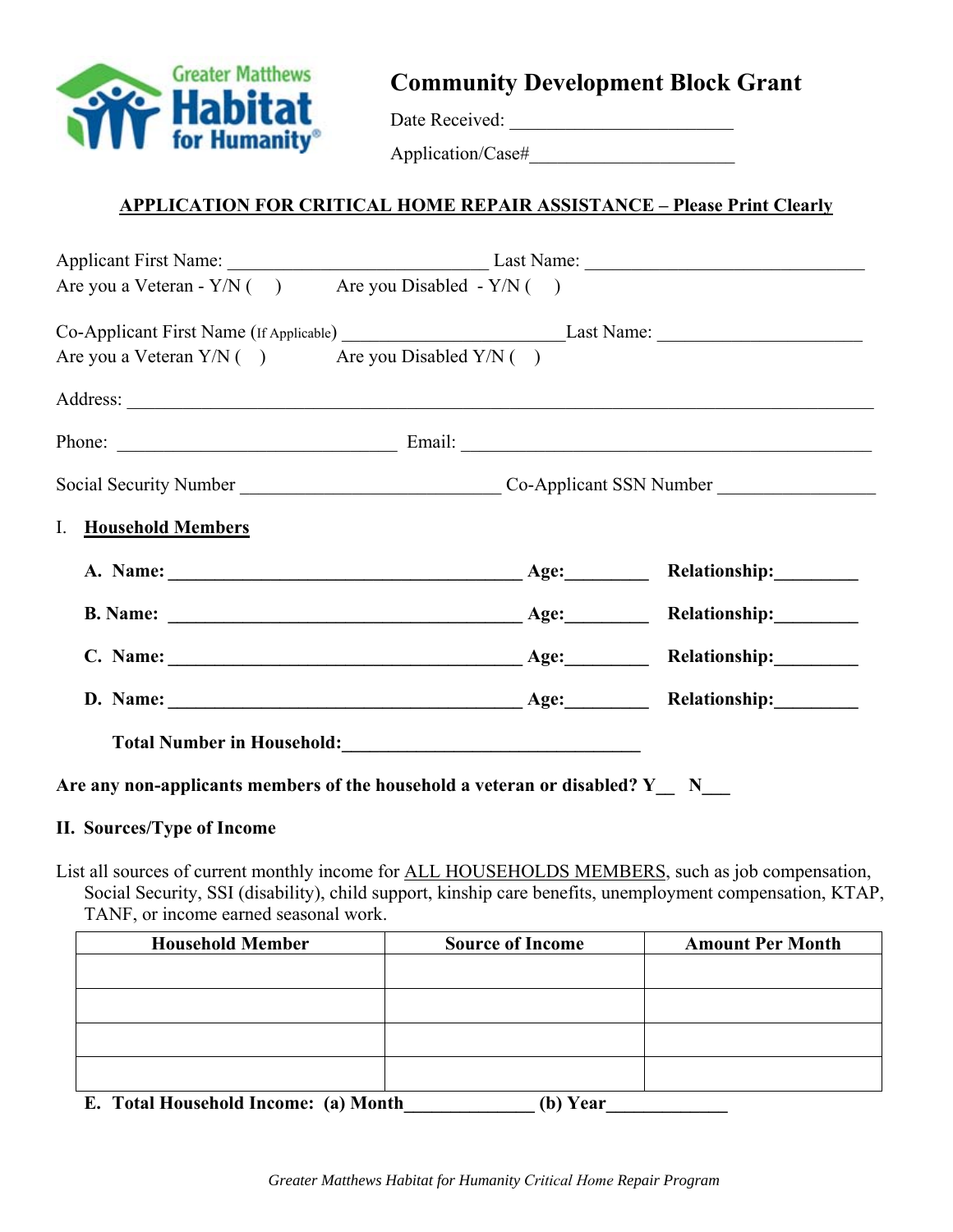

**Community Development Block Grant** 

Date Received: \_\_\_\_\_\_\_\_\_\_\_\_\_\_\_\_\_\_\_\_\_\_\_\_

Application/Case#

## **APPLICATION FOR CRITICAL HOME REPAIR ASSISTANCE – Please Print Clearly**

| Are you a Veteran - $Y/N$ ( ) Are you Disabled - $Y/N$ ( )                             |  |  |  |  |  |  |
|----------------------------------------------------------------------------------------|--|--|--|--|--|--|
| Co-Applicant First Name (If Applicable) Last Name: Last Name:                          |  |  |  |  |  |  |
| Are you a Veteran $Y/N$ ( ) Are you Disabled $Y/N$ ( )                                 |  |  |  |  |  |  |
|                                                                                        |  |  |  |  |  |  |
|                                                                                        |  |  |  |  |  |  |
|                                                                                        |  |  |  |  |  |  |
| I. Household Members                                                                   |  |  |  |  |  |  |
|                                                                                        |  |  |  |  |  |  |
|                                                                                        |  |  |  |  |  |  |
|                                                                                        |  |  |  |  |  |  |
|                                                                                        |  |  |  |  |  |  |
| Total Number in Household:<br><u> </u>                                                 |  |  |  |  |  |  |
| Are any non-applicants members of the household a veteran or disabled? $Y_N = N_{N-1}$ |  |  |  |  |  |  |

#### **II. Sources/Type of Income**

List all sources of current monthly income for ALL HOUSEHOLDS MEMBERS, such as job compensation, Social Security, SSI (disability), child support, kinship care benefits, unemployment compensation, KTAP, TANF, or income earned seasonal work.

| <b>Household Member</b>  | <b>Source of Income</b> | <b>Amount Per Month</b> |  |  |
|--------------------------|-------------------------|-------------------------|--|--|
|                          |                         |                         |  |  |
|                          |                         |                         |  |  |
|                          |                         |                         |  |  |
|                          |                         |                         |  |  |
|                          |                         |                         |  |  |
| .<br>___<br>- ---<br>$-$ | $-1$                    |                         |  |  |

**E.** Total Household Income: (a) Month (b) Year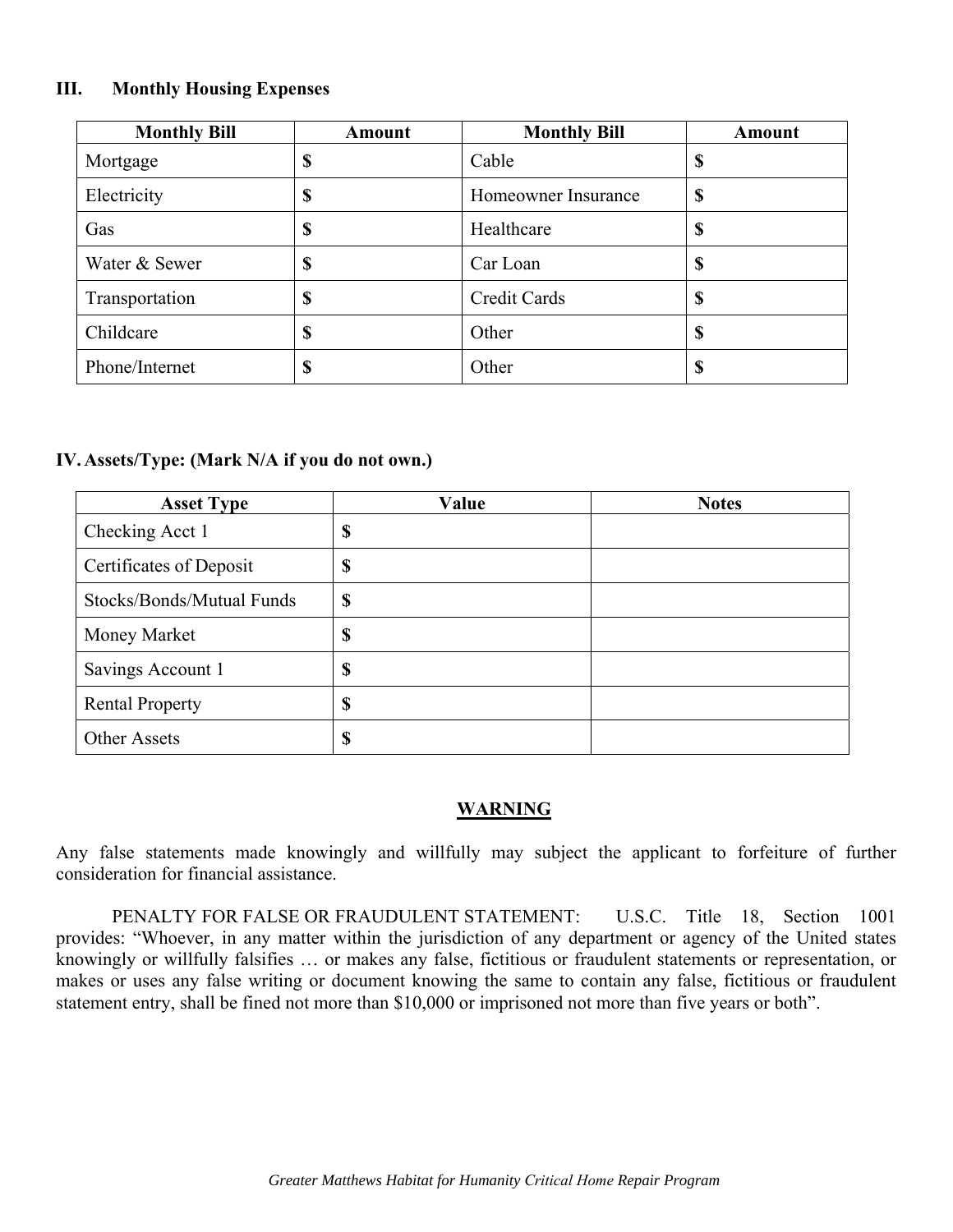#### **III. Monthly Housing Expenses**

| <b>Monthly Bill</b> | <b>Amount</b> | <b>Monthly Bill</b> | Amount |
|---------------------|---------------|---------------------|--------|
| Mortgage            | \$            | Cable               | \$     |
| Electricity         | \$            | Homeowner Insurance | \$     |
| Gas                 | \$            | Healthcare          | \$     |
| Water & Sewer       | \$            | Car Loan            | \$     |
| Transportation      | \$            | <b>Credit Cards</b> | \$     |
| Childcare           | \$            | Other               | \$     |
| Phone/Internet      | \$            | Other               | \$     |

#### **IV. Assets/Type: (Mark N/A if you do not own.)**

| <b>Asset Type</b>         | Value | <b>Notes</b> |
|---------------------------|-------|--------------|
| Checking Acct 1           | \$    |              |
| Certificates of Deposit   | \$    |              |
| Stocks/Bonds/Mutual Funds | \$    |              |
| Money Market              | \$    |              |
| Savings Account 1         | \$    |              |
| <b>Rental Property</b>    | \$    |              |
| <b>Other Assets</b>       | \$    |              |

#### **WARNING**

Any false statements made knowingly and willfully may subject the applicant to forfeiture of further consideration for financial assistance.

PENALTY FOR FALSE OR FRAUDULENT STATEMENT: U.S.C. Title 18, Section 1001 provides: "Whoever, in any matter within the jurisdiction of any department or agency of the United states knowingly or willfully falsifies … or makes any false, fictitious or fraudulent statements or representation, or makes or uses any false writing or document knowing the same to contain any false, fictitious or fraudulent statement entry, shall be fined not more than \$10,000 or imprisoned not more than five years or both".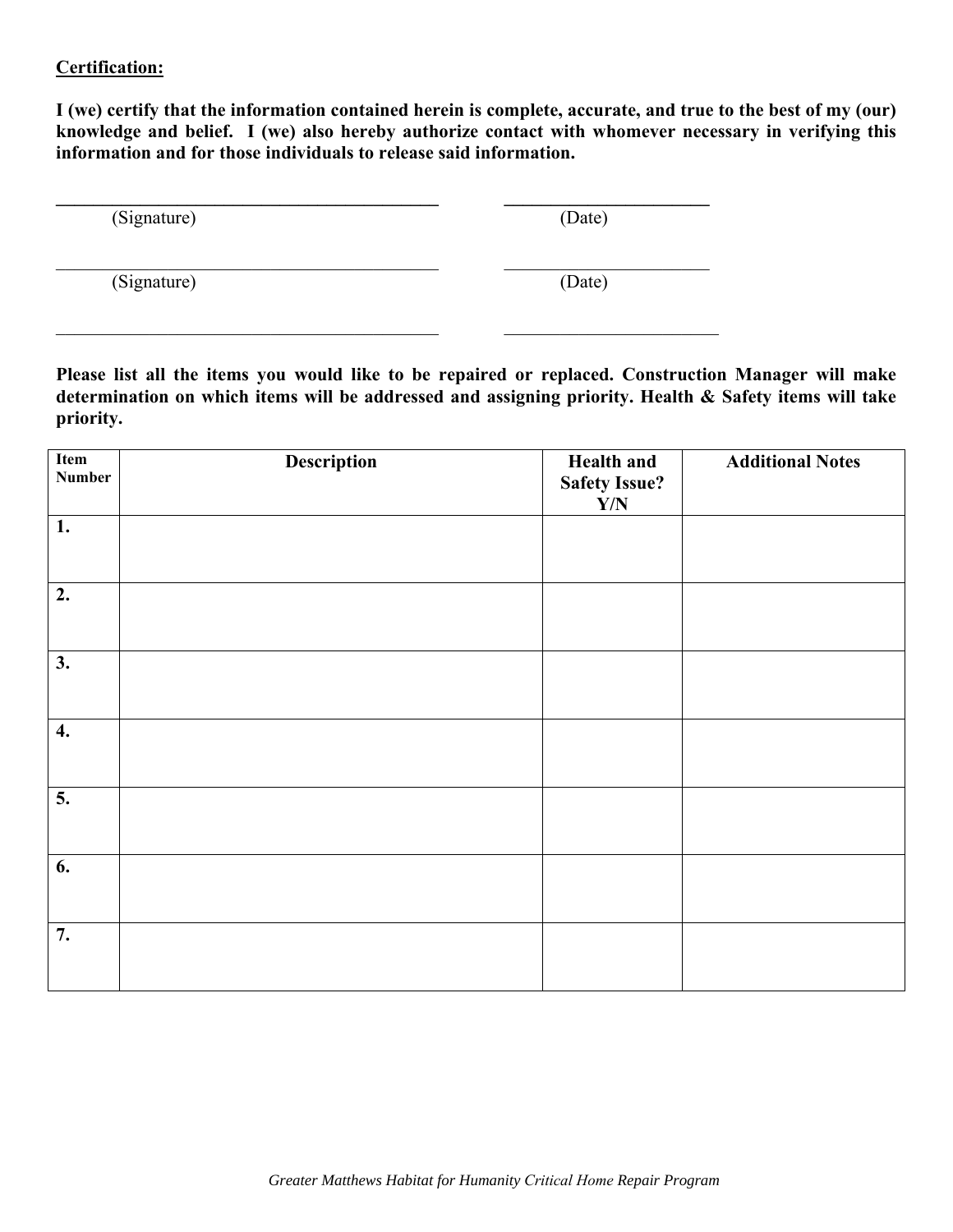### **Certification:**

**I (we) certify that the information contained herein is complete, accurate, and true to the best of my (our) knowledge and belief. I (we) also hereby authorize contact with whomever necessary in verifying this information and for those individuals to release said information.** 

| (Signature) | (Date) |
|-------------|--------|
| (Signature) | (Date) |

**Please list all the items you would like to be repaired or replaced. Construction Manager will make determination on which items will be addressed and assigning priority. Health & Safety items will take priority.** 

| Item<br><b>Number</b> | <b>Description</b> | <b>Health and</b><br><b>Safety Issue?</b><br>$\mathbf{Y}/\mathbf{N}$ | <b>Additional Notes</b> |
|-----------------------|--------------------|----------------------------------------------------------------------|-------------------------|
| 1.                    |                    |                                                                      |                         |
| 2.                    |                    |                                                                      |                         |
| 3.                    |                    |                                                                      |                         |
| $\boldsymbol{4}$ .    |                    |                                                                      |                         |
| $\overline{5}$ .      |                    |                                                                      |                         |
| 6.                    |                    |                                                                      |                         |
| 7.                    |                    |                                                                      |                         |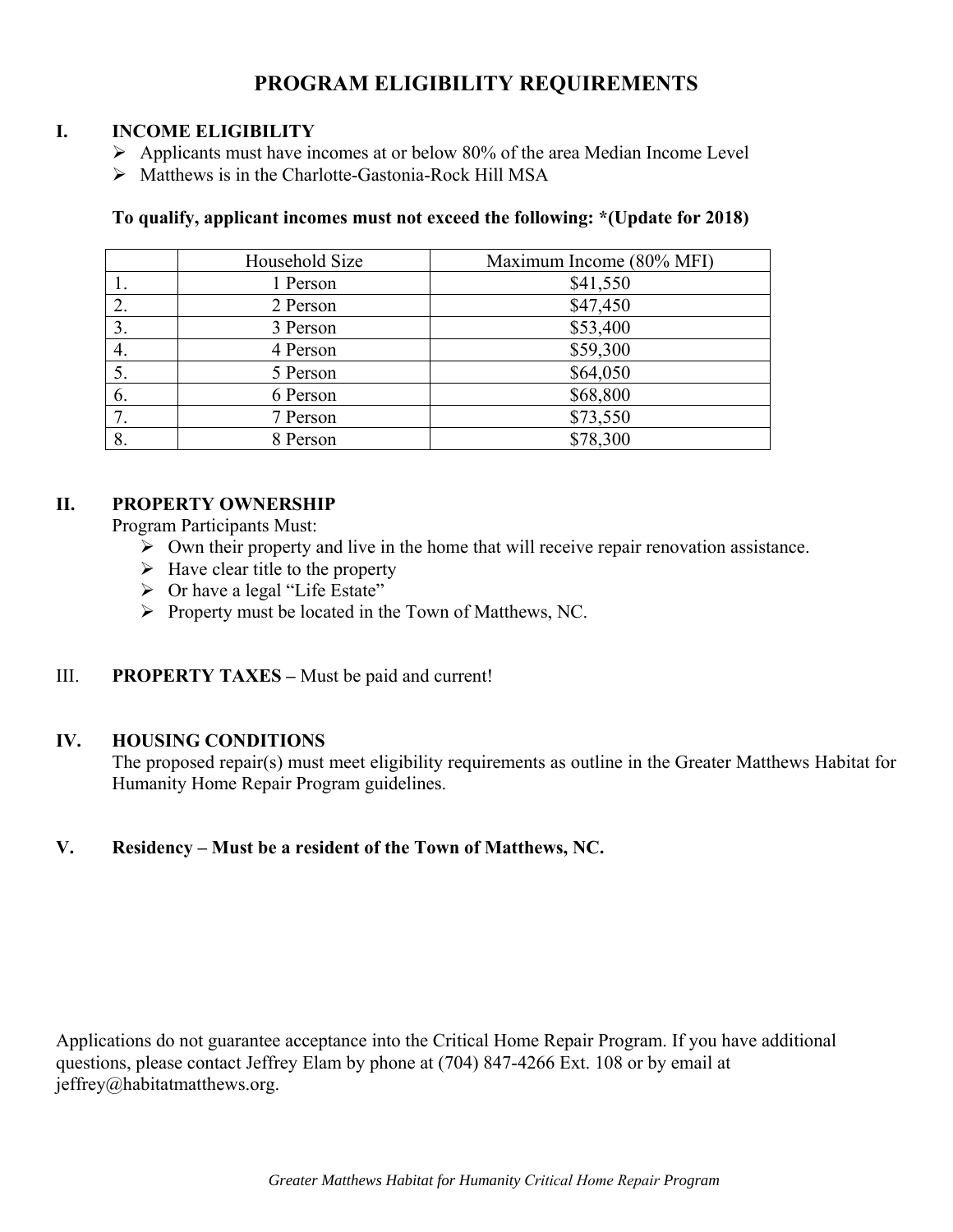# **PROGRAM ELIGIBILITY REQUIREMENTS**

## **I. INCOME ELIGIBILITY**

- $\triangleright$  Applicants must have incomes at or below 80% of the area Median Income Level
- Matthews is in the Charlotte-Gastonia-Rock Hill MSA

## **To qualify, applicant incomes must not exceed the following: \*(Update for 2018)**

|    | Household Size | Maximum Income (80% MFI) |
|----|----------------|--------------------------|
|    | 1 Person       | \$41,550                 |
| 2. | 2 Person       | \$47,450                 |
| 3. | 3 Person       | \$53,400                 |
| 4. | 4 Person       | \$59,300                 |
| 5. | 5 Person       | \$64,050                 |
| 6. | 6 Person       | \$68,800                 |
| 7. | 7 Person       | \$73,550                 |
| 8. | 8 Person       | \$78,300                 |

## **II. PROPERTY OWNERSHIP**

Program Participants Must:

- $\triangleright$  Own their property and live in the home that will receive repair renovation assistance.
- $\triangleright$  Have clear title to the property
- $\triangleright$  Or have a legal "Life Estate"
- $\triangleright$  Property must be located in the Town of Matthews, NC.

## III. **PROPERTY TAXES –** Must be paid and current!

## **IV. HOUSING CONDITIONS**

The proposed repair(s) must meet eligibility requirements as outline in the Greater Matthews Habitat for Humanity Home Repair Program guidelines.

## **V. Residency – Must be a resident of the Town of Matthews, NC.**

Applications do not guarantee acceptance into the Critical Home Repair Program. If you have additional questions, please contact Jeffrey Elam by phone at (704) 847-4266 Ext. 108 or by email at jeffrey@habitatmatthews.org.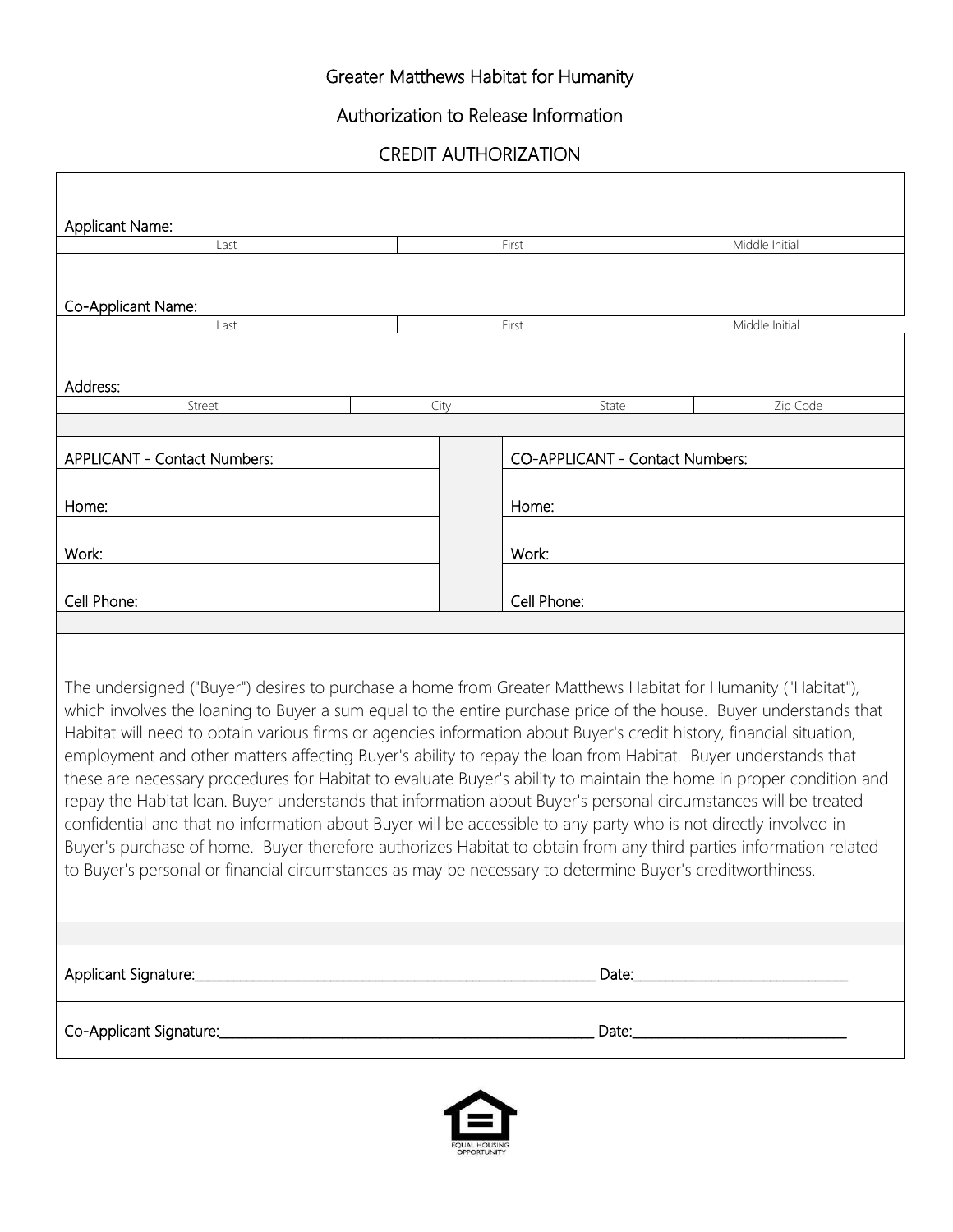# Greater Matthews Habitat for Humanity

Authorization to Release Information

CREDIT AUTHORIZATION

| Applicant Name:                                                                                                                                                                                                                                                                                                                                                                                                                                                                                                                                                                                                                                                                                                                                                                                                                                                                                                                                                                                                                                                            |  |               |                                 |                                                                                                                |  |  |  |
|----------------------------------------------------------------------------------------------------------------------------------------------------------------------------------------------------------------------------------------------------------------------------------------------------------------------------------------------------------------------------------------------------------------------------------------------------------------------------------------------------------------------------------------------------------------------------------------------------------------------------------------------------------------------------------------------------------------------------------------------------------------------------------------------------------------------------------------------------------------------------------------------------------------------------------------------------------------------------------------------------------------------------------------------------------------------------|--|---------------|---------------------------------|----------------------------------------------------------------------------------------------------------------|--|--|--|
| Last                                                                                                                                                                                                                                                                                                                                                                                                                                                                                                                                                                                                                                                                                                                                                                                                                                                                                                                                                                                                                                                                       |  |               | First                           | Middle Initial                                                                                                 |  |  |  |
| Co-Applicant Name:                                                                                                                                                                                                                                                                                                                                                                                                                                                                                                                                                                                                                                                                                                                                                                                                                                                                                                                                                                                                                                                         |  |               |                                 |                                                                                                                |  |  |  |
| Last                                                                                                                                                                                                                                                                                                                                                                                                                                                                                                                                                                                                                                                                                                                                                                                                                                                                                                                                                                                                                                                                       |  | First         |                                 | Middle Initial                                                                                                 |  |  |  |
| Address:                                                                                                                                                                                                                                                                                                                                                                                                                                                                                                                                                                                                                                                                                                                                                                                                                                                                                                                                                                                                                                                                   |  |               |                                 |                                                                                                                |  |  |  |
| Street                                                                                                                                                                                                                                                                                                                                                                                                                                                                                                                                                                                                                                                                                                                                                                                                                                                                                                                                                                                                                                                                     |  | City<br>State |                                 | Zip Code                                                                                                       |  |  |  |
| APPLICANT - Contact Numbers:                                                                                                                                                                                                                                                                                                                                                                                                                                                                                                                                                                                                                                                                                                                                                                                                                                                                                                                                                                                                                                               |  |               | CO-APPLICANT - Contact Numbers: |                                                                                                                |  |  |  |
| Home:                                                                                                                                                                                                                                                                                                                                                                                                                                                                                                                                                                                                                                                                                                                                                                                                                                                                                                                                                                                                                                                                      |  |               | Home:                           |                                                                                                                |  |  |  |
| Work:                                                                                                                                                                                                                                                                                                                                                                                                                                                                                                                                                                                                                                                                                                                                                                                                                                                                                                                                                                                                                                                                      |  |               |                                 |                                                                                                                |  |  |  |
| Cell Phone:                                                                                                                                                                                                                                                                                                                                                                                                                                                                                                                                                                                                                                                                                                                                                                                                                                                                                                                                                                                                                                                                |  |               |                                 | Cell Phone:                                                                                                    |  |  |  |
|                                                                                                                                                                                                                                                                                                                                                                                                                                                                                                                                                                                                                                                                                                                                                                                                                                                                                                                                                                                                                                                                            |  |               |                                 |                                                                                                                |  |  |  |
| The undersigned ("Buyer") desires to purchase a home from Greater Matthews Habitat for Humanity ("Habitat"),<br>which involves the loaning to Buyer a sum equal to the entire purchase price of the house. Buyer understands that<br>Habitat will need to obtain various firms or agencies information about Buyer's credit history, financial situation,<br>employment and other matters affecting Buyer's ability to repay the loan from Habitat. Buyer understands that<br>these are necessary procedures for Habitat to evaluate Buyer's ability to maintain the home in proper condition and<br>repay the Habitat loan. Buyer understands that information about Buyer's personal circumstances will be treated<br>confidential and that no information about Buyer will be accessible to any party who is not directly involved in<br>Buyer's purchase of home. Buyer therefore authorizes Habitat to obtain from any third parties information related<br>to Buyer's personal or financial circumstances as may be necessary to determine Buyer's creditworthiness. |  |               |                                 |                                                                                                                |  |  |  |
|                                                                                                                                                                                                                                                                                                                                                                                                                                                                                                                                                                                                                                                                                                                                                                                                                                                                                                                                                                                                                                                                            |  |               |                                 |                                                                                                                |  |  |  |
|                                                                                                                                                                                                                                                                                                                                                                                                                                                                                                                                                                                                                                                                                                                                                                                                                                                                                                                                                                                                                                                                            |  |               |                                 | Date: National Contract of the Contract of the Contract of the Contract of the Contract of the Contract of the |  |  |  |
| Date:_______________                                                                                                                                                                                                                                                                                                                                                                                                                                                                                                                                                                                                                                                                                                                                                                                                                                                                                                                                                                                                                                                       |  |               |                                 |                                                                                                                |  |  |  |
|                                                                                                                                                                                                                                                                                                                                                                                                                                                                                                                                                                                                                                                                                                                                                                                                                                                                                                                                                                                                                                                                            |  |               |                                 |                                                                                                                |  |  |  |

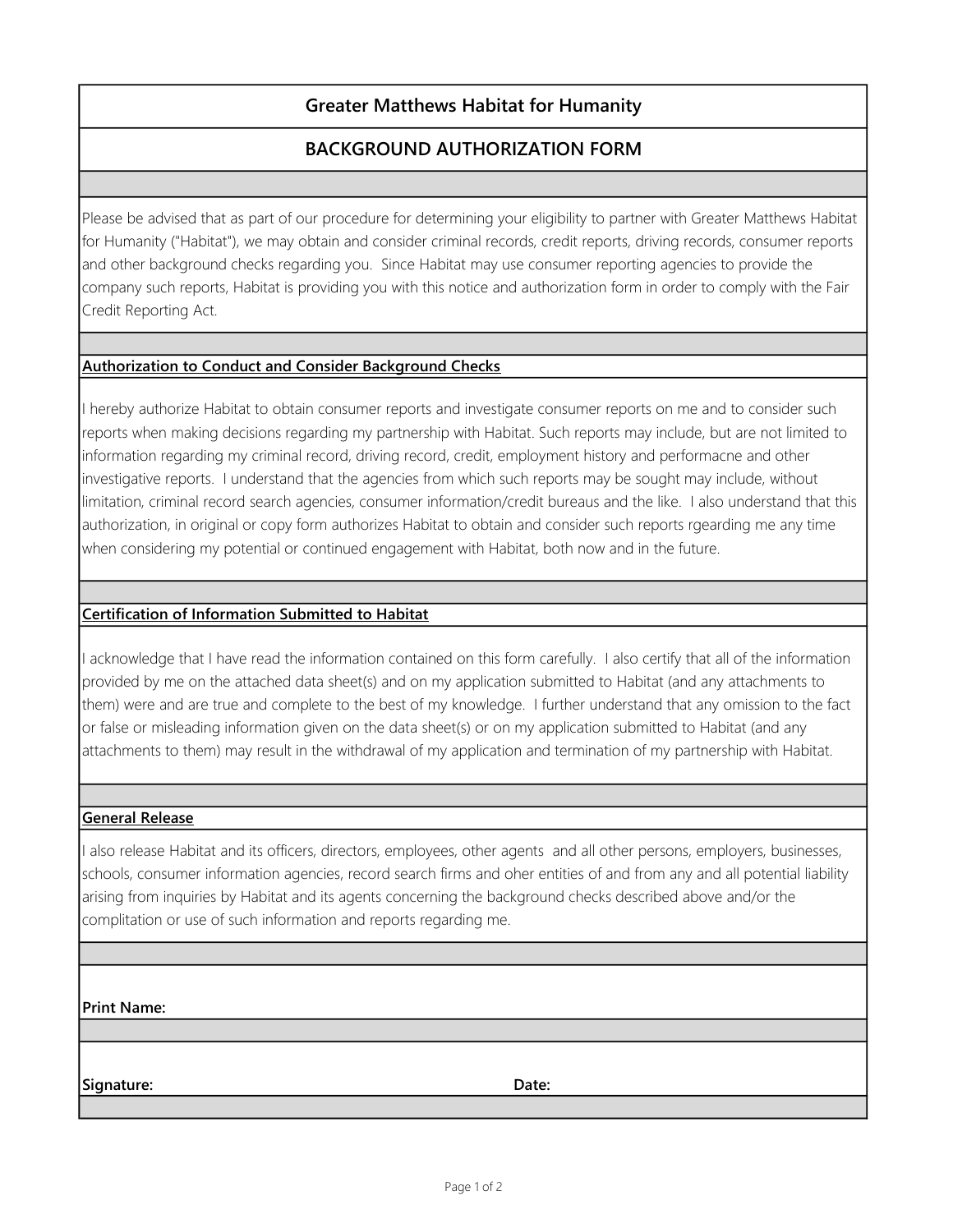## Greater Matthews Habitat for Humanity

# BACKGROUND AUTHORIZATION FORM

Please be advised that as part of our procedure for determining your eligibility to partner with Greater Matthews Habitat for Humanity ("Habitat"), we may obtain and consider criminal records, credit reports, driving records, consumer reports and other background checks regarding you. Since Habitat may use consumer reporting agencies to provide the company such reports, Habitat is providing you with this notice and authorization form in order to comply with the Fair Credit Reporting Act.

#### Authorization to Conduct and Consider Background Checks

I hereby authorize Habitat to obtain consumer reports and investigate consumer reports on me and to consider such reports when making decisions regarding my partnership with Habitat. Such reports may include, but are not limited to information regarding my criminal record, driving record, credit, employment history and performacne and other investigative reports. I understand that the agencies from which such reports may be sought may include, without limitation, criminal record search agencies, consumer information/credit bureaus and the like. I also understand that this authorization, in original or copy form authorizes Habitat to obtain and consider such reports rgearding me any time when considering my potential or continued engagement with Habitat, both now and in the future.

#### Certification of Information Submitted to Habitat

I acknowledge that I have read the information contained on this form carefully. I also certify that all of the information provided by me on the attached data sheet(s) and on my application submitted to Habitat (and any attachments to them) were and are true and complete to the best of my knowledge. I further understand that any omission to the fact or false or misleading information given on the data sheet(s) or on my application submitted to Habitat (and any attachments to them) may result in the withdrawal of my application and termination of my partnership with Habitat.

#### General Release

I also release Habitat and its officers, directors, employees, other agents and all other persons, employers, businesses, schools, consumer information agencies, record search firms and oher entities of and from any and all potential liability arising from inquiries by Habitat and its agents concerning the background checks described above and/or the complitation or use of such information and reports regarding me.

Print Name:

Signature: Date: